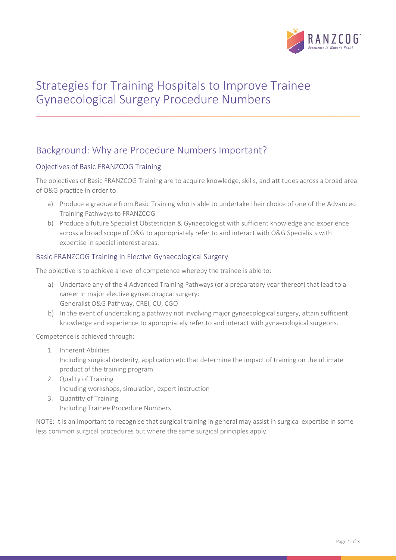

# Strategies for Training Hospitals to Improve Trainee Gynaecological Surgery Procedure Numbers

# Background: Why are Procedure Numbers Important?

## Objectives of Basic FRANZCOG Training

The objectives of Basic FRANZCOG Training are to acquire knowledge, skills, and attitudes across a broad area of O&G practice in order to:

- a) Produce a graduate from Basic Training who is able to undertake their choice of one of the Advanced Training Pathways to FRANZCOG
- b) Produce a future Specialist Obstetrician & Gynaecologist with sufficient knowledge and experience across a broad scope of O&G to appropriately refer to and interact with O&G Specialists with expertise in special interest areas.

## Basic FRANZCOG Training in Elective Gynaecological Surgery

The objective is to achieve a level of competence whereby the trainee is able to:

- a) Undertake any of the 4 Advanced Training Pathways (or a preparatory year thereof) that lead to a career in major elective gynaecological surgery: Generalist O&G Pathway, CREI, CU, CGO
- b) In the event of undertaking a pathway not involving major gynaecological surgery, attain sufficient knowledge and experience to appropriately refer to and interact with gynaecological surgeons.

Competence is achieved through:

- 1. Inherent Abilities Including surgical dexterity, application etc that determine the impact of training on the ultimate product of the training program
- 2. Quality of Training Including workshops, simulation, expert instruction
- 3. Quantity of Training Including Trainee Procedure Numbers

NOTE: It is an important to recognise that surgical training in general may assist in surgical expertise in some less common surgical procedures but where the same surgical principles apply.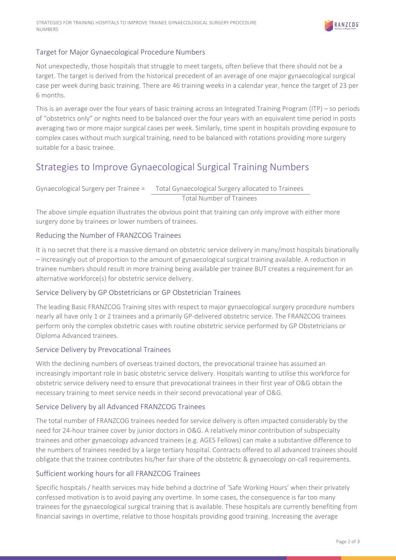

## Target for Major Gynaecological Procedure Numbers

Not unexpectedly, those hospitals that struggle to meet targets, often believe that there should not be a target. The target is derived from the historical precedent of an average of one major gynaecological surgical case per week during basic training. There are 46 training weeks in a calendar year, hence the target of 23 per 6 months.

This is an average over the four years of basic training across an Integrated Training Program (ITP) – so periods of "obstetrics only" or nights need to be balanced over the four years with an equivalent time period in posts averaging two or more major surgical cases per week. Similarly, time spent in hospitals providing exposure to complex cases without much surgical training, need to be balanced with rotations providing more surgery suitable for a basic trainee.

## Strategies to Improve Gynaecological Surgical Training Numbers

Gynaecological Surgery per Trainee = Total Gynaecological Surgery allocated to Trainees Total Number of Trainees

The above simple equation illustrates the obvious point that training can only improve with either more surgery done by trainees or lower numbers of trainees.

## Reducing the Number of FRANZCOG Trainees

It is no secret that there is a massive demand on obstetric service delivery in many/most hospitals binationally – increasingly out of proportion to the amount of gynaecological surgical training available. A reduction in trainee numbers should result in more training being available per trainee BUT creates a requirement for an alternative workforce(s) for obstetric service delivery.

#### Service Delivery by GP Obstetricians or GP Obstetrician Trainees

The leading Basic FRANZCOG Training sites with respect to major gynaecological surgery procedure numbers nearly all have only 1 or 2 trainees and a primarily GP-delivered obstetric service. The FRANZCOG trainees perform only the complex obstetric cases with routine obstetric service performed by GP Obstetricians or Diploma Advanced trainees.

#### Service Delivery by Prevocational Trainees

With the declining numbers of overseas trained doctors, the prevocational trainee has assumed an increasingly important role in basic obstetric service delivery. Hospitals wanting to utilise this workforce for obstetric service delivery need to ensure that prevocational trainees in their first year of O&G obtain the necessary training to meet service needs in their second prevocational year of O&G.

#### Service Delivery by all Advanced FRANZCOG Trainees

The total number of FRANZCOG trainees needed for service delivery is often impacted considerably by the need for 24-hour trainee cover by junior doctors in O&G. A relatively minor contribution of subspecialty trainees and other gynaecology advanced trainees (e.g. AGES Fellows) can make a substantive difference to the numbers of trainees needed by a large tertiary hospital. Contracts offered to all advanced trainees should obligate that the trainee contributes his/her fair share of the obstetric & gynaecology on-call requirements.

#### Sufficient working hours for all FRANZCOG Trainees

Specific hospitals / health services may hide behind a doctrine of 'Safe Working Hours' when their privately confessed motivation is to avoid paying any overtime. In some cases, the consequence is far too many trainees for the gynaecological surgical training that is available. These hospitals are currently benefiting from financial savings in overtime, relative to those hospitals providing good training. Increasing the average